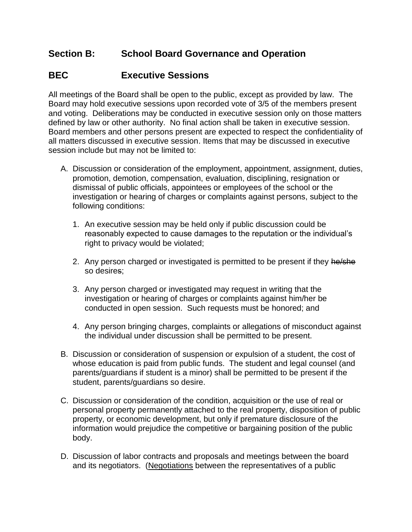## **Section B: School Board Governance and Operation**

## **BEC Executive Sessions**

All meetings of the Board shall be open to the public, except as provided by law. The Board may hold executive sessions upon recorded vote of 3/5 of the members present and voting. Deliberations may be conducted in executive session only on those matters defined by law or other authority. No final action shall be taken in executive session. Board members and other persons present are expected to respect the confidentiality of all matters discussed in executive session. Items that may be discussed in executive session include but may not be limited to:

- A. Discussion or consideration of the employment, appointment, assignment, duties, promotion, demotion, compensation, evaluation, disciplining, resignation or dismissal of public officials, appointees or employees of the school or the investigation or hearing of charges or complaints against persons, subject to the following conditions:
	- 1. An executive session may be held only if public discussion could be reasonably expected to cause damages to the reputation or the individual's right to privacy would be violated;
	- 2. Any person charged or investigated is permitted to be present if they he/she so desires;
	- 3. Any person charged or investigated may request in writing that the investigation or hearing of charges or complaints against him/her be conducted in open session. Such requests must be honored; and
	- 4. Any person bringing charges, complaints or allegations of misconduct against the individual under discussion shall be permitted to be present.
- B. Discussion or consideration of suspension or expulsion of a student, the cost of whose education is paid from public funds. The student and legal counsel (and parents/guardians if student is a minor) shall be permitted to be present if the student, parents/guardians so desire.
- C. Discussion or consideration of the condition, acquisition or the use of real or personal property permanently attached to the real property, disposition of public property, or economic development, but only if premature disclosure of the information would prejudice the competitive or bargaining position of the public body.
- D. Discussion of labor contracts and proposals and meetings between the board and its negotiators. (Negotiations between the representatives of a public